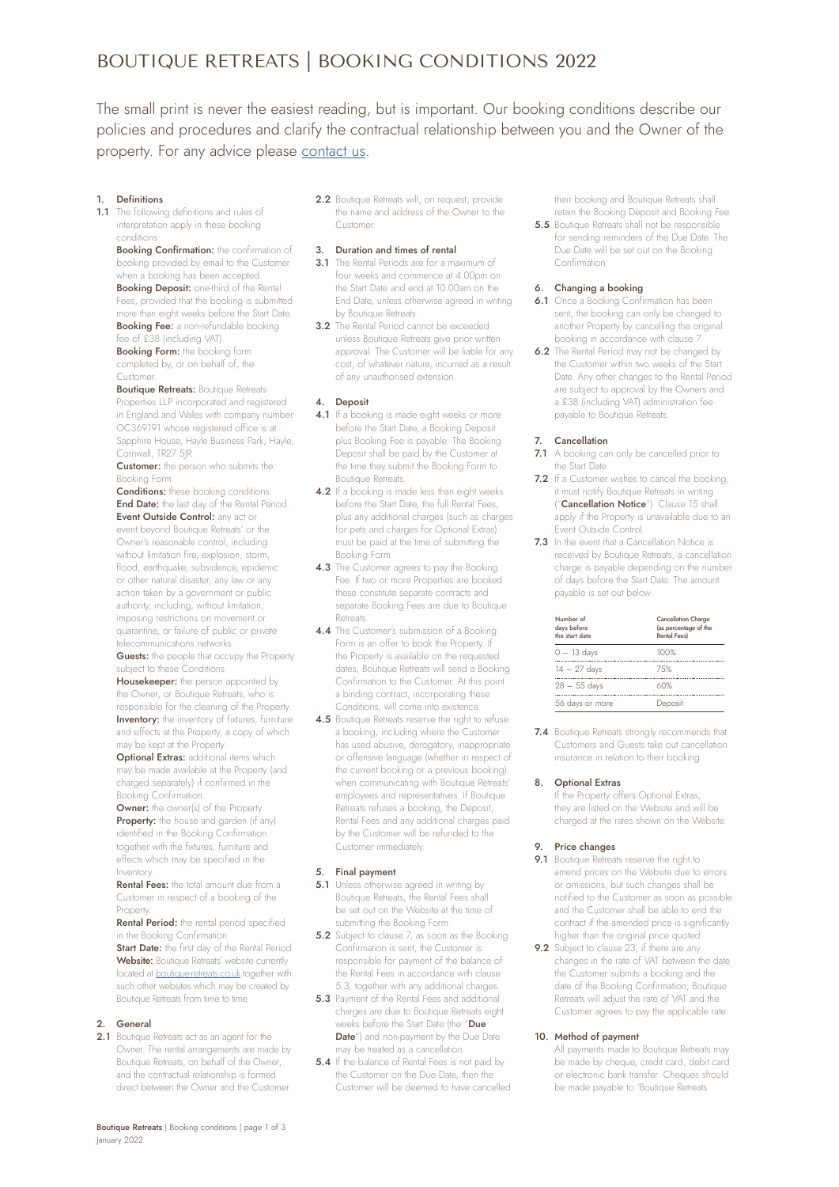# BOUTIQUE RETREATS | BOOKING CONDITIONS 2022

The small print is never the easiest reading, but is important. Our booking conditions describe our policies and procedures and clarify the contractual relationship between you and the Owner of the property. For any advice please [contact us.](https://boutique-retreats.co.uk/about-boutique-retreats.aspx)

# 1. Definitions

1.1 The following definitions and rules of interpretation apply in these booking conditions:

> Booking Confirmation: the confirmation of booking provided by email to the Customer when a booking has been accepted. Booking Deposit: one-third of the Rental Fees, provided that the booking is submitted more than eight weeks before the Start Date. Booking Fee: a non-refundable booking fee of £38 (including VAT).

 Booking Form: the booking form completed by, or on behalf of, the Customer.

**Boutique Retreats: Boutique Retreats** Properties LLP incorporated and registered in England and Wales with company number OC369191 whose registered office is at Sapphire House, Hayle Business Park, Hayle, Cornwall, TR27 5JR.

**Customer:** the person who submits the Booking Form.

Conditions: these booking conditions. **End Date:** the last day of the Rental Period. Event Outside Control: any act or event beyond Boutique Retreats' or the Owner's reasonable control, including without limitation fire, explosion, storm, flood, earthquake, subsidence, epidemic or other natural disaster, any law or any action taken by a government or public authority, including, without limitation, imposing restrictions on movement or quarantine, or failure of public or private telecommunications networks.

**Guests:** the people that occupy the Property subject to these Conditions.

Housekeeper: the person appointed by the Owner, or Boutique Retreats, who is responsible for the cleaning of the Property. Inventory: the inventory of fixtures, furniture and effects at the Property, a copy of which may be kept at the Property.

**Optional Extras: additional items which** may be made available at the Property (and charged separately) if confirmed in the Booking Confirmation.

**Owner:** the owner(s) of the Property. Property: the house and garden (if any) identified in the Booking Confirmation together with the fixtures, furniture and effects which may be specified in the Inventory.

Rental Fees: the total amount due from a Customer in respect of a booking of the **Property** 

 Rental Period: the rental period specified in the Booking Confirmation. **Start Date:** the first day of the Rental Period. Website: Boutique Retreats' website currently located at [boutique-retreats.co.uk](https://boutique-retreats.co.uk/) together with such other websites which may be created by Boutique Retreats from time to time.

#### 2. General

2.1 Boutique Retreats act as an agent for the Owner. The rental arrangements are made by Boutique Retreats, on behalf of the Owner, and the contractual relationship is formed direct between the Owner and the Customer.

2.2 Boutique Retreats will, on request, provide the name and address of the Owner to the Customer.

#### 3. Duration and times of rental

- 3.1 The Rental Periods are for a maximum of four weeks and commence at 4.00pm on the Start Date and end at 10.00am on the End Date, unless otherwise agreed in writing by Boutique Retreats.
- 3.2 The Rental Period cannot be exceeded unless Boutique Retreats give prior written approval. The Customer will be liable for any cost, of whatever nature, incurred as a result of any unauthorised extension.

#### 4. Deposit

- 4.1 If a booking is made eight weeks or more before the Start Date, a Booking Deposit plus Booking Fee is payable. The Booking Deposit shall be paid by the Customer at the time they submit the Booking Form to Boutique Retreats.
- 4.2 If a booking is made less than eight weeks before the Start Date, the full Rental Fees, plus any additional charges (such as charges for pets and charges for Optional Extras) must be paid at the time of submitting the Booking Form.
- 4.3 The Customer agrees to pay the Booking Fee. If two or more Properties are booked these constitute separate contracts and separate Booking Fees are due to Boutique Retreats.
- 4.4 The Customer's submission of a Booking Form is an offer to book the Property. If the Property is available on the requested dates, Boutique Retreats will send a Booking Confirmation to the Customer. At this point a binding contract, incorporating these Conditions, will come into existence.
- 4.5 Boutique Retreats reserve the right to refuse a booking, including where the Customer has used abusive, derogatory, inappropriate or offensive language (whether in respect of the current booking or a previous booking) when communicating with Boutique Retreats' employees and representatives. If Boutique **Retreats refuses a booking, the Deposit,** Rental Fees and any additional charges paid by the Customer will be refunded to the Customer immediately.

#### 5. Final payment

- **5.1** Unless otherwise agreed in writing by Boutique Retreats, the Rental Fees shall be set out on the Website at the time of submitting the Booking Form.
- 5.2 Subject to clause 7, as soon as the Booking Confirmation is sent, the Customer is responsible for payment of the balance of the Rental Fees in accordance with clause 5.3, together with any additional charges.
- 5.3 Payment of the Rental Fees and additional charges are due to Boutique Retreats eight weeks before the Start Date (the "Due Date") and non-payment by the Due Date may be treated as a cancellation.
- 5.4 If the balance of Rental Fees is not paid by the Customer on the Due Date, then the Customer will be deemed to have cancelled

their booking and Boutique Retreats shall retain the Booking Deposit and Booking Fee.

5.5 Boutique Retreats shall not be responsible for sending reminders of the Due Date. The Due Date will be set out on the Booking Confirmation.

# 6. Changing a booking

- 6.1 Once a Booking Confirmation has been sent, the booking can only be changed to another Property by cancelling the original booking in accordance with clause 7.
- 6.2 The Rental Period may not be changed by the Customer within two weeks of the Start Date. Any other changes to the Rental Period are subject to approval by the Owners and a £38 (including VAT) administration fee payable to Boutique Retreats.

#### 7. Cancellation

- 7.1 A booking can only be cancelled prior to the Start Date.
- 7.2 If a Customer wishes to cancel the booking, it must notify Boutique Retreats in writing ("Cancellation Notice"). Clause 15 shall apply if the Property is unavailable due to an Event Outside Control.
- 7.3 In the event that a Cancellation Notice is received by Boutique Retreats, a cancellation charge is payable depending on the number of days before the Start Date. The amount payable is set out below:

| Number of<br>days before<br>the start date | <b>Cancellation Charge</b><br>(as percentage of the<br><b>Rental Fees)</b> |
|--------------------------------------------|----------------------------------------------------------------------------|
| $0 - 13$ days                              | 100%                                                                       |
| $14 - 27$ days                             | 75%                                                                        |
| $28 - 55$ days                             | 60%                                                                        |
| 56 days or more                            | Deposit                                                                    |

7.4 Boutique Retreats strongly recommends that Customers and Guests take out cancellation insurance in relation to their booking.

## 8. Optional Extras

 If the Property offers Optional Extras, they are listed on the Website and will be charged at the rates shown on the Website.

# 9. Price changes

- 9.1 Boutique Retreats reserve the right to amend prices on the Website due to errors or omissions, but such changes shall be notified to the Customer as soon as possible and the Customer shall be able to end the contract if the amended price is significantly higher than the original price quoted.
- 9.2 Subject to clause 23, if there are any changes in the rate of VAT between the date the Customer submits a booking and the date of the Booking Confirmation, Boutique Retreats will adjust the rate of VAT and the Customer agrees to pay the applicable rate.

#### 10. Method of payment

 All payments made to Boutique Retreats may be made by cheque, credit card, debit card or electronic bank transfer. Cheques should be made payable to 'Boutique Retreats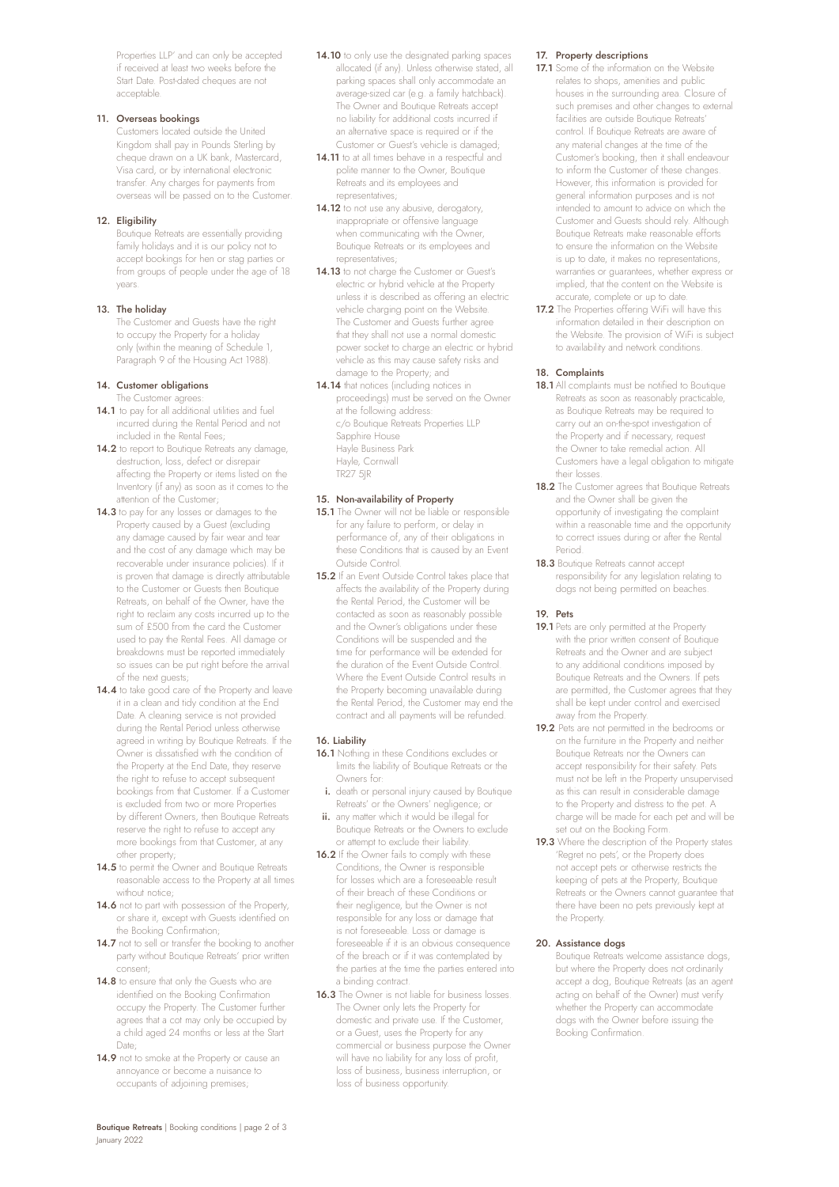Properties LLP' and can only be accepted if received at least two weeks before the Start Date. Post-dated cheques are not acceptable.

# 11. Overseas bookings

 Customers located outside the United Kingdom shall pay in Pounds Sterling by cheque drawn on a UK bank, Mastercard, Visa card, or by international electronic transfer. Any charges for payments from overseas will be passed on to the Customer.

#### 12. Eligibility

 Boutique Retreats are essentially providing family holidays and it is our policy not to accept bookings for hen or stag parties or from groups of people under the age of 18 years.

# 13. The holiday

 The Customer and Guests have the right to occupy the Property for a holiday only (within the meaning of Schedule 1, Paragraph 9 of the Housing Act 1988).

# 14. Customer obligations

The Customer agrees:

- 14.1 to pay for all additional utilities and fuel incurred during the Rental Period and not included in the Rental Fees;
- 14.2 to report to Boutique Retreats any damage, destruction, loss, defect or disrepair affecting the Property or items listed on the Inventory (if any) as soon as it comes to the attention of the Customer;
- 14.3 to pay for any losses or damages to the Property caused by a Guest (excluding any damage caused by fair wear and tear and the cost of any damage which may be recoverable under insurance policies). If it is proven that damage is directly attributable to the Customer or Guests then Boutique Retreats, on behalf of the Owner, have the right to reclaim any costs incurred up to the sum of £500 from the card the Customer used to pay the Rental Fees. All damage or breakdowns must be reported immediately so issues can be put right before the arrival of the next guests;
- 14.4 to take good care of the Property and leave it in a clean and tidy condition at the End Date. A cleaning service is not provided during the Rental Period unless otherwise agreed in writing by Boutique Retreats. If the Owner is dissatisfied with the condition of the Property at the End Date, they reserve the right to refuse to accept subsequent bookings from that Customer. If a Customer is excluded from two or more Properties by different Owners, then Boutique Retreats reserve the right to refuse to accept any more bookings from that Customer, at any other property;
- 14.5 to permit the Owner and Boutique Retreats reasonable access to the Property at all times without notice;
- 14.6 not to part with possession of the Property, or share it, except with Guests identified on the Booking Confirmation;
- 14.7 not to sell or transfer the booking to another party without Boutique Retreats' prior written consent;
- 14.8 to ensure that only the Guests who are identified on the Booking Confirmation occupy the Property. The Customer further agrees that a cot may only be occupied by a child aged 24 months or less at the Start Date;
- 14.9 not to smoke at the Property or cause an annoyance or become a nuisance to occupants of adjoining premises;
- 14.10 to only use the designated parking spaces allocated (if any). Unless otherwise stated, all parking spaces shall only accommodate an average-sized car (e.g. a family hatchback). The Owner and Boutique Retreats accept no liability for additional costs incurred if an alternative space is required or if the Customer or Guest's vehicle is damaged;
- 14.11 to at all times behave in a respectful and polite manner to the Owner, Boutique Retreats and its employees and representatives;
- 14.12 to not use any abusive, derogatory, inappropriate or offensive language when communicating with the Owner, Boutique Retreats or its employees and representatives;
- 14.13 to not charge the Customer or Guest's electric or hybrid vehicle at the Property unless it is described as offering an electric vehicle charging point on the Website. The Customer and Guests further agree that they shall not use a normal domestic power socket to charge an electric or hybrid vehicle as this may cause safety risks and damage to the Property; and
- 14.14 that notices (including notices in proceedings) must be served on the Owner at the following address: c/o Boutique Retreats Properties LLP Sapphire House Hayle Business Park Hayle, Cornwall TR27 5JR

# 15. Non-availability of Property

- **15.1** The Owner will not be liable or responsible for any failure to perform, or delay in performance of, any of their obligations in these Conditions that is caused by an Event Outside Control.
- 15.2 If an Event Outside Control takes place that affects the availability of the Property during the Rental Period, the Customer will be contacted as soon as reasonably possible and the Owner's obligations under these Conditions will be suspended and the time for performance will be extended for the duration of the Event Outside Control. Where the Event Outside Control results in the Property becoming unavailable during the Rental Period, the Customer may end the contract and all payments will be refunded.

#### 16. Liability

- 16.1 Nothing in these Conditions excludes or limits the liability of Boutique Retreats or the Owners for:
- i. death or personal injury caused by Boutique Retreats' or the Owners' negligence; or
- ii. any matter which it would be illegal for Boutique Retreats or the Owners to exclude or attempt to exclude their liability.
- 16.2 If the Owner fails to comply with these Conditions, the Owner is responsible for losses which are a foreseeable result of their breach of these Conditions or their negligence, but the Owner is not responsible for any loss or damage that is not foreseeable. Loss or damage is foreseeable if it is an obvious consequence of the breach or if it was contemplated by the parties at the time the parties entered into a binding contract.
- **16.3** The Owner is not liable for business losses. The Owner only lets the Property for domestic and private use. If the Customer, or a Guest, uses the Property for any commercial or business purpose the Owner will have no liability for any loss of profit, loss of business, business interruption, or loss of business opportunity.

# 17. Property descriptions

- 17.1 Some of the information on the Website relates to shops, amenities and public houses in the surrounding area. Closure of such premises and other changes to external facilities are outside Boutique Retreats control. If Boutique Retreats are aware of any material changes at the time of the Customer's booking, then it shall endeavour to inform the Customer of these changes. However, this information is provided for general information purposes and is not intended to amount to advice on which the Customer and Guests should rely. Although Boutique Retreats make reasonable efforts to ensure the information on the Website is up to date, it makes no representations, warranties or guarantees, whether express or implied, that the content on the Website is accurate, complete or up to date.
- 17.2 The Properties offering WiFi will have this information detailed in their description on the Website. The provision of WiFi is subject to availability and network conditions.

#### 18. Complaints

- 18.1 All complaints must be notified to Boutique Retreats as soon as reasonably practicable, as Boutique Retreats may be required to carry out an on-the-spot investigation of the Property and if necessary, request the Owner to take remedial action. All Customers have a legal obligation to mitigate their losses.
- 18.2 The Customer agrees that Boutique Retreats and the Owner shall be given the opportunity of investigating the complaint within a reasonable time and the opportunity to correct issues during or after the Rental Period.
- 18.3 Boutique Retreats cannot accept responsibility for any legislation relating to dogs not being permitted on beaches.

# 19. Pets

- 19.1 Pets are only permitted at the Property with the prior written consent of Boutique Retreats and the Owner and are subject to any additional conditions imposed by Boutique Retreats and the Owners. If pets are permitted, the Customer agrees that they shall be kept under control and exercised away from the Property.
- 19.2 Pets are not permitted in the bedrooms or on the furniture in the Property and neither Boutique Retreats nor the Owners can accept responsibility for their safety. Pets must not be left in the Property unsupervised as this can result in considerable damage to the Property and distress to the pet. A charge will be made for each pet and will be set out on the Booking Form.
- 19.3 Where the description of the Property states 'Regret no pets', or the Property does not accept pets or otherwise restricts the keeping of pets at the Property, Boutique Retreats or the Owners cannot guarantee that there have been no pets previously kept at the Property.

# 20. Assistance dogs

 Boutique Retreats welcome assistance dogs, but where the Property does not ordinarily accept a dog, Boutique Retreats (as an agent acting on behalf of the Owner) must verify whether the Property can accommodate dogs with the Owner before issuing the Booking Confirmation.